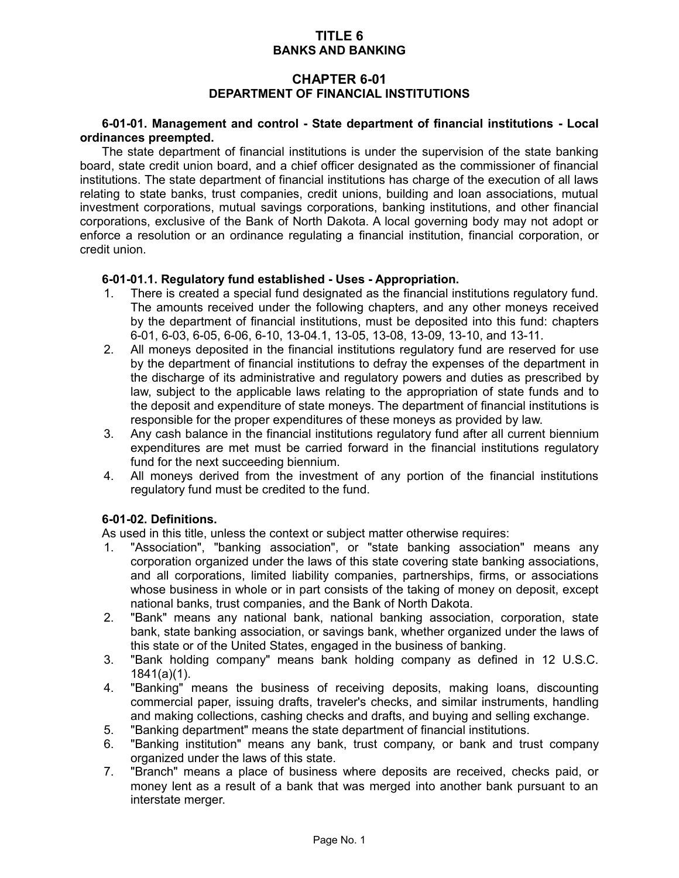## **TITLE 6 BANKS AND BANKING**

# **CHAPTER 6-01 DEPARTMENT OF FINANCIAL INSTITUTIONS**

### **6-01-01. Management and control - State department of financial institutions - Local ordinances preempted.**

The state department of financial institutions is under the supervision of the state banking board, state credit union board, and a chief officer designated as the commissioner of financial institutions. The state department of financial institutions has charge of the execution of all laws relating to state banks, trust companies, credit unions, building and loan associations, mutual investment corporations, mutual savings corporations, banking institutions, and other financial corporations, exclusive of the Bank of North Dakota. A local governing body may not adopt or enforce a resolution or an ordinance regulating a financial institution, financial corporation, or credit union.

### **6-01-01.1. Regulatory fund established - Uses - Appropriation.**

- 1. There is created a special fund designated as the financial institutions regulatory fund. The amounts received under the following chapters, and any other moneys received by the department of financial institutions, must be deposited into this fund: chapters 6-01, 6-03, 6-05, 6-06, 6-10, 13-04.1, 13-05, 13-08, 13-09, 13-10, and 13-11.
- 2. All moneys deposited in the financial institutions regulatory fund are reserved for use by the department of financial institutions to defray the expenses of the department in the discharge of its administrative and regulatory powers and duties as prescribed by law, subject to the applicable laws relating to the appropriation of state funds and to the deposit and expenditure of state moneys. The department of financial institutions is responsible for the proper expenditures of these moneys as provided by law.
- 3. Any cash balance in the financial institutions regulatory fund after all current biennium expenditures are met must be carried forward in the financial institutions regulatory fund for the next succeeding biennium.
- 4. All moneys derived from the investment of any portion of the financial institutions regulatory fund must be credited to the fund.

## **6-01-02. Definitions.**

As used in this title, unless the context or subject matter otherwise requires:

- 1. "Association", "banking association", or "state banking association" means any corporation organized under the laws of this state covering state banking associations, and all corporations, limited liability companies, partnerships, firms, or associations whose business in whole or in part consists of the taking of money on deposit, except national banks, trust companies, and the Bank of North Dakota.
- 2. "Bank" means any national bank, national banking association, corporation, state bank, state banking association, or savings bank, whether organized under the laws of this state or of the United States, engaged in the business of banking.
- 3. "Bank holding company" means bank holding company as defined in 12 U.S.C. 1841(a)(1).
- 4. "Banking" means the business of receiving deposits, making loans, discounting commercial paper, issuing drafts, traveler's checks, and similar instruments, handling and making collections, cashing checks and drafts, and buying and selling exchange.
- 5. "Banking department" means the state department of financial institutions.
- 6. "Banking institution" means any bank, trust company, or bank and trust company organized under the laws of this state.
- 7. "Branch" means a place of business where deposits are received, checks paid, or money lent as a result of a bank that was merged into another bank pursuant to an interstate merger.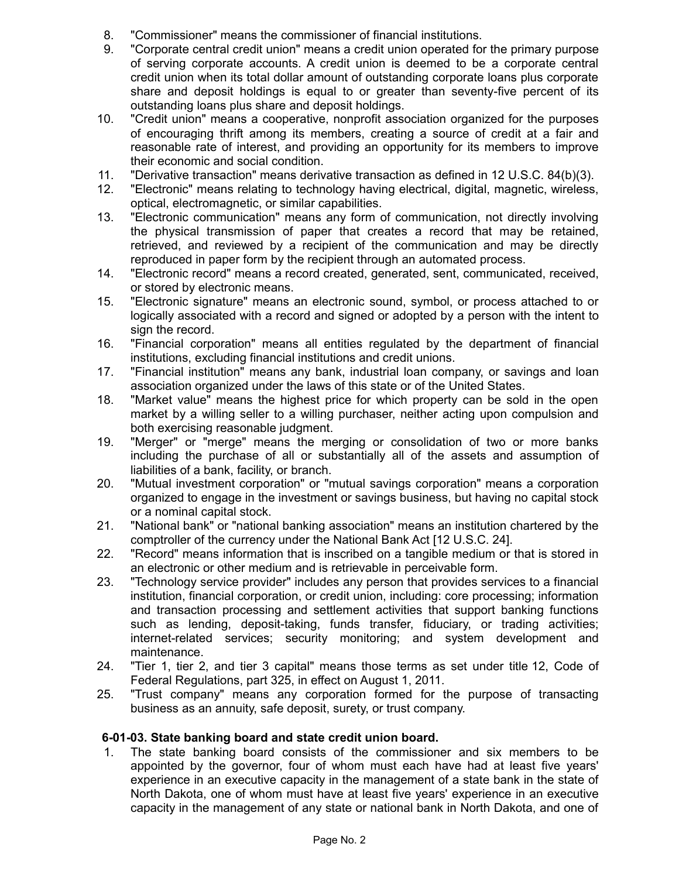- 8. "Commissioner" means the commissioner of financial institutions.
- 9. "Corporate central credit union" means a credit union operated for the primary purpose of serving corporate accounts. A credit union is deemed to be a corporate central credit union when its total dollar amount of outstanding corporate loans plus corporate share and deposit holdings is equal to or greater than seventy-five percent of its outstanding loans plus share and deposit holdings.
- 10. "Credit union" means a cooperative, nonprofit association organized for the purposes of encouraging thrift among its members, creating a source of credit at a fair and reasonable rate of interest, and providing an opportunity for its members to improve their economic and social condition.
- 11. "Derivative transaction" means derivative transaction as defined in 12 U.S.C. 84(b)(3).
- 12. "Electronic" means relating to technology having electrical, digital, magnetic, wireless, optical, electromagnetic, or similar capabilities.
- 13. "Electronic communication" means any form of communication, not directly involving the physical transmission of paper that creates a record that may be retained, retrieved, and reviewed by a recipient of the communication and may be directly reproduced in paper form by the recipient through an automated process.
- 14. "Electronic record" means a record created, generated, sent, communicated, received, or stored by electronic means.
- 15. "Electronic signature" means an electronic sound, symbol, or process attached to or logically associated with a record and signed or adopted by a person with the intent to sign the record.
- 16. "Financial corporation" means all entities regulated by the department of financial institutions, excluding financial institutions and credit unions.
- 17. "Financial institution" means any bank, industrial loan company, or savings and loan association organized under the laws of this state or of the United States.
- 18. "Market value" means the highest price for which property can be sold in the open market by a willing seller to a willing purchaser, neither acting upon compulsion and both exercising reasonable judgment.
- 19. "Merger" or "merge" means the merging or consolidation of two or more banks including the purchase of all or substantially all of the assets and assumption of liabilities of a bank, facility, or branch.
- 20. "Mutual investment corporation" or "mutual savings corporation" means a corporation organized to engage in the investment or savings business, but having no capital stock or a nominal capital stock.
- 21. "National bank" or "national banking association" means an institution chartered by the comptroller of the currency under the National Bank Act [12 U.S.C. 24].
- 22. "Record" means information that is inscribed on a tangible medium or that is stored in an electronic or other medium and is retrievable in perceivable form.
- 23. "Technology service provider" includes any person that provides services to a financial institution, financial corporation, or credit union, including: core processing; information and transaction processing and settlement activities that support banking functions such as lending, deposit-taking, funds transfer, fiduciary, or trading activities; internet-related services; security monitoring; and system development and maintenance.
- 24. "Tier 1, tier 2, and tier 3 capital" means those terms as set under title 12, Code of Federal Regulations, part 325, in effect on August 1, 2011.
- 25. "Trust company" means any corporation formed for the purpose of transacting business as an annuity, safe deposit, surety, or trust company.

## **6-01-03. State banking board and state credit union board.**

1. The state banking board consists of the commissioner and six members to be appointed by the governor, four of whom must each have had at least five years' experience in an executive capacity in the management of a state bank in the state of North Dakota, one of whom must have at least five years' experience in an executive capacity in the management of any state or national bank in North Dakota, and one of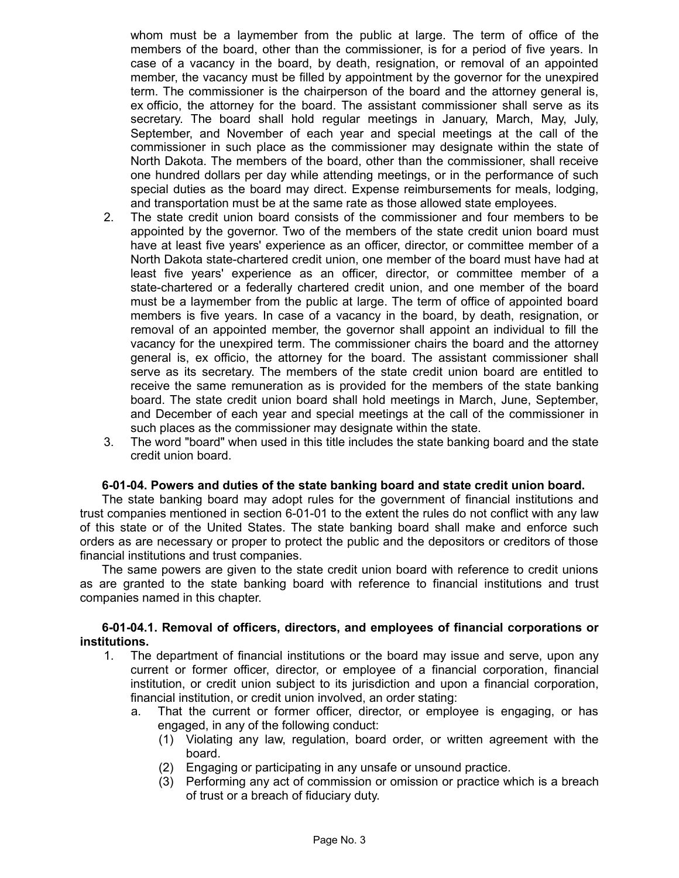whom must be a laymember from the public at large. The term of office of the members of the board, other than the commissioner, is for a period of five years. In case of a vacancy in the board, by death, resignation, or removal of an appointed member, the vacancy must be filled by appointment by the governor for the unexpired term. The commissioner is the chairperson of the board and the attorney general is, ex officio, the attorney for the board. The assistant commissioner shall serve as its secretary. The board shall hold regular meetings in January, March, May, July, September, and November of each year and special meetings at the call of the commissioner in such place as the commissioner may designate within the state of North Dakota. The members of the board, other than the commissioner, shall receive one hundred dollars per day while attending meetings, or in the performance of such special duties as the board may direct. Expense reimbursements for meals, lodging, and transportation must be at the same rate as those allowed state employees.

- 2. The state credit union board consists of the commissioner and four members to be appointed by the governor. Two of the members of the state credit union board must have at least five years' experience as an officer, director, or committee member of a North Dakota state-chartered credit union, one member of the board must have had at least five years' experience as an officer, director, or committee member of a state-chartered or a federally chartered credit union, and one member of the board must be a laymember from the public at large. The term of office of appointed board members is five years. In case of a vacancy in the board, by death, resignation, or removal of an appointed member, the governor shall appoint an individual to fill the vacancy for the unexpired term. The commissioner chairs the board and the attorney general is, ex officio, the attorney for the board. The assistant commissioner shall serve as its secretary. The members of the state credit union board are entitled to receive the same remuneration as is provided for the members of the state banking board. The state credit union board shall hold meetings in March, June, September, and December of each year and special meetings at the call of the commissioner in such places as the commissioner may designate within the state.
- 3. The word "board" when used in this title includes the state banking board and the state credit union board.

#### **6-01-04. Powers and duties of the state banking board and state credit union board.**

The state banking board may adopt rules for the government of financial institutions and trust companies mentioned in section 6-01-01 to the extent the rules do not conflict with any law of this state or of the United States. The state banking board shall make and enforce such orders as are necessary or proper to protect the public and the depositors or creditors of those financial institutions and trust companies.

The same powers are given to the state credit union board with reference to credit unions as are granted to the state banking board with reference to financial institutions and trust companies named in this chapter.

#### **6-01-04.1. Removal of officers, directors, and employees of financial corporations or institutions.**

- 1. The department of financial institutions or the board may issue and serve, upon any current or former officer, director, or employee of a financial corporation, financial institution, or credit union subject to its jurisdiction and upon a financial corporation, financial institution, or credit union involved, an order stating:
	- a. That the current or former officer, director, or employee is engaging, or has engaged, in any of the following conduct:
		- (1) Violating any law, regulation, board order, or written agreement with the board.
		- (2) Engaging or participating in any unsafe or unsound practice.
		- (3) Performing any act of commission or omission or practice which is a breach of trust or a breach of fiduciary duty.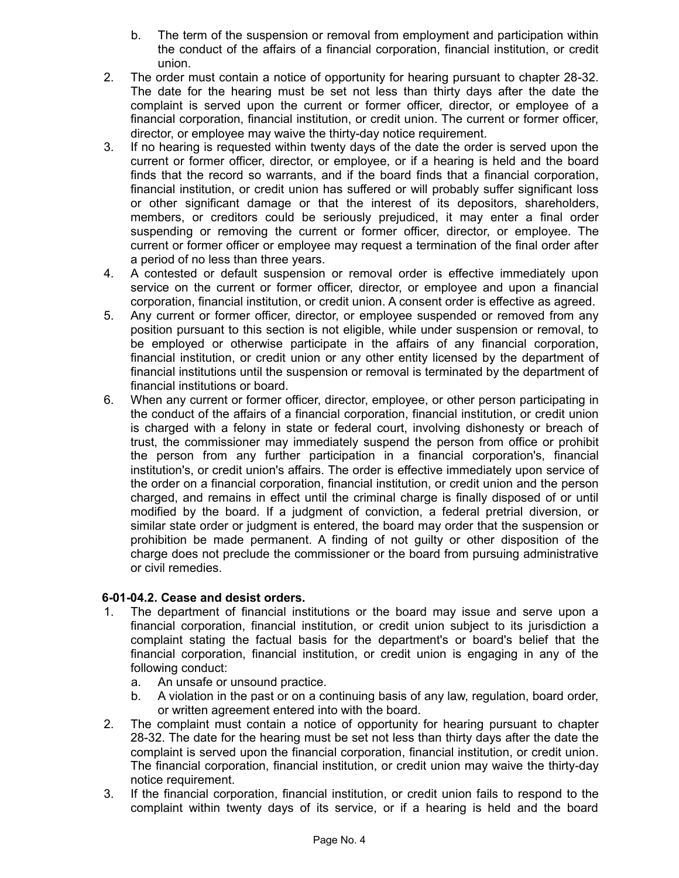- b. The term of the suspension or removal from employment and participation within the conduct of the affairs of a financial corporation, financial institution, or credit union.
- 2. The order must contain a notice of opportunity for hearing pursuant to chapter 28-32. The date for the hearing must be set not less than thirty days after the date the complaint is served upon the current or former officer, director, or employee of a financial corporation, financial institution, or credit union. The current or former officer, director, or employee may waive the thirty-day notice requirement.
- 3. If no hearing is requested within twenty days of the date the order is served upon the current or former officer, director, or employee, or if a hearing is held and the board finds that the record so warrants, and if the board finds that a financial corporation, financial institution, or credit union has suffered or will probably suffer significant loss or other significant damage or that the interest of its depositors, shareholders, members, or creditors could be seriously prejudiced, it may enter a final order suspending or removing the current or former officer, director, or employee. The current or former officer or employee may request a termination of the final order after a period of no less than three years.
- 4. A contested or default suspension or removal order is effective immediately upon service on the current or former officer, director, or employee and upon a financial corporation, financial institution, or credit union. A consent order is effective as agreed.
- 5. Any current or former officer, director, or employee suspended or removed from any position pursuant to this section is not eligible, while under suspension or removal, to be employed or otherwise participate in the affairs of any financial corporation, financial institution, or credit union or any other entity licensed by the department of financial institutions until the suspension or removal is terminated by the department of financial institutions or board.
- 6. When any current or former officer, director, employee, or other person participating in the conduct of the affairs of a financial corporation, financial institution, or credit union is charged with a felony in state or federal court, involving dishonesty or breach of trust, the commissioner may immediately suspend the person from office or prohibit the person from any further participation in a financial corporation's, financial institution's, or credit union's affairs. The order is effective immediately upon service of the order on a financial corporation, financial institution, or credit union and the person charged, and remains in effect until the criminal charge is finally disposed of or until modified by the board. If a judgment of conviction, a federal pretrial diversion, or similar state order or judgment is entered, the board may order that the suspension or prohibition be made permanent. A finding of not guilty or other disposition of the charge does not preclude the commissioner or the board from pursuing administrative or civil remedies.

## **6-01-04.2. Cease and desist orders.**

- 1. The department of financial institutions or the board may issue and serve upon a financial corporation, financial institution, or credit union subject to its jurisdiction a complaint stating the factual basis for the department's or board's belief that the financial corporation, financial institution, or credit union is engaging in any of the following conduct:
	- a. An unsafe or unsound practice.
	- b. A violation in the past or on a continuing basis of any law, regulation, board order, or written agreement entered into with the board.
- 2. The complaint must contain a notice of opportunity for hearing pursuant to chapter 28-32. The date for the hearing must be set not less than thirty days after the date the complaint is served upon the financial corporation, financial institution, or credit union. The financial corporation, financial institution, or credit union may waive the thirty-day notice requirement.
- 3. If the financial corporation, financial institution, or credit union fails to respond to the complaint within twenty days of its service, or if a hearing is held and the board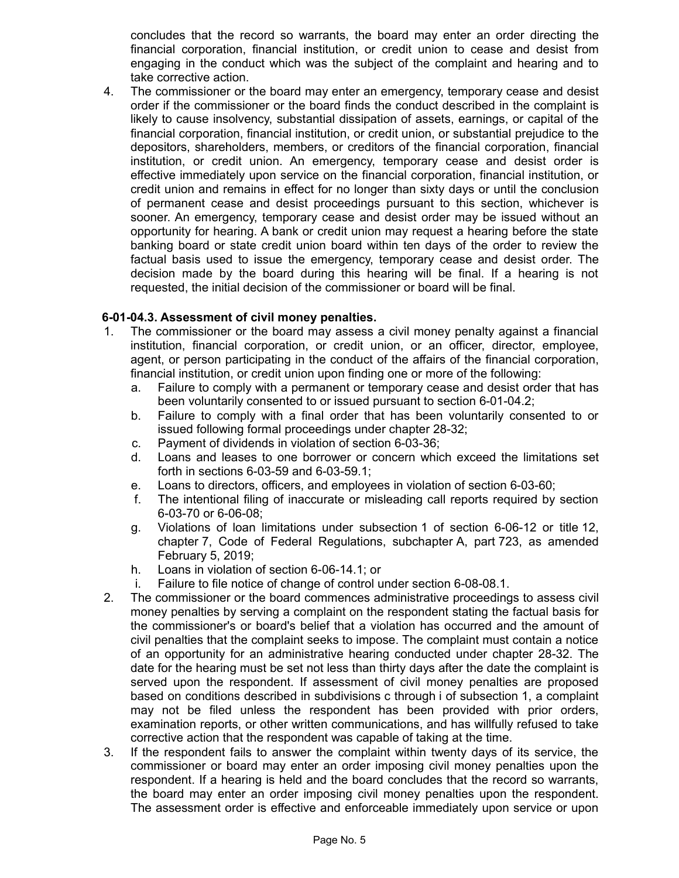concludes that the record so warrants, the board may enter an order directing the financial corporation, financial institution, or credit union to cease and desist from engaging in the conduct which was the subject of the complaint and hearing and to take corrective action.

4. The commissioner or the board may enter an emergency, temporary cease and desist order if the commissioner or the board finds the conduct described in the complaint is likely to cause insolvency, substantial dissipation of assets, earnings, or capital of the financial corporation, financial institution, or credit union, or substantial prejudice to the depositors, shareholders, members, or creditors of the financial corporation, financial institution, or credit union. An emergency, temporary cease and desist order is effective immediately upon service on the financial corporation, financial institution, or credit union and remains in effect for no longer than sixty days or until the conclusion of permanent cease and desist proceedings pursuant to this section, whichever is sooner. An emergency, temporary cease and desist order may be issued without an opportunity for hearing. A bank or credit union may request a hearing before the state banking board or state credit union board within ten days of the order to review the factual basis used to issue the emergency, temporary cease and desist order. The decision made by the board during this hearing will be final. If a hearing is not requested, the initial decision of the commissioner or board will be final.

### **6-01-04.3. Assessment of civil money penalties.**

- 1. The commissioner or the board may assess a civil money penalty against a financial institution, financial corporation, or credit union, or an officer, director, employee, agent, or person participating in the conduct of the affairs of the financial corporation, financial institution, or credit union upon finding one or more of the following:
	- a. Failure to comply with a permanent or temporary cease and desist order that has been voluntarily consented to or issued pursuant to section 6-01-04.2;
	- b. Failure to comply with a final order that has been voluntarily consented to or issued following formal proceedings under chapter 28-32;
	- c. Payment of dividends in violation of section 6-03-36;
	- d. Loans and leases to one borrower or concern which exceed the limitations set forth in sections 6-03-59 and 6-03-59.1;
	- e. Loans to directors, officers, and employees in violation of section 6-03-60;
	- f. The intentional filing of inaccurate or misleading call reports required by section 6-03-70 or 6-06-08;
	- g. Violations of loan limitations under subsection 1 of section 6-06-12 or title 12, chapter 7, Code of Federal Regulations, subchapter A, part 723, as amended February 5, 2019;
	- h. Loans in violation of section 6-06-14.1; or
	- i. Failure to file notice of change of control under section 6-08-08.1.
- 2. The commissioner or the board commences administrative proceedings to assess civil money penalties by serving a complaint on the respondent stating the factual basis for the commissioner's or board's belief that a violation has occurred and the amount of civil penalties that the complaint seeks to impose. The complaint must contain a notice of an opportunity for an administrative hearing conducted under chapter 28-32. The date for the hearing must be set not less than thirty days after the date the complaint is served upon the respondent. If assessment of civil money penalties are proposed based on conditions described in subdivisions c through i of subsection 1, a complaint may not be filed unless the respondent has been provided with prior orders, examination reports, or other written communications, and has willfully refused to take corrective action that the respondent was capable of taking at the time.
- 3. If the respondent fails to answer the complaint within twenty days of its service, the commissioner or board may enter an order imposing civil money penalties upon the respondent. If a hearing is held and the board concludes that the record so warrants, the board may enter an order imposing civil money penalties upon the respondent. The assessment order is effective and enforceable immediately upon service or upon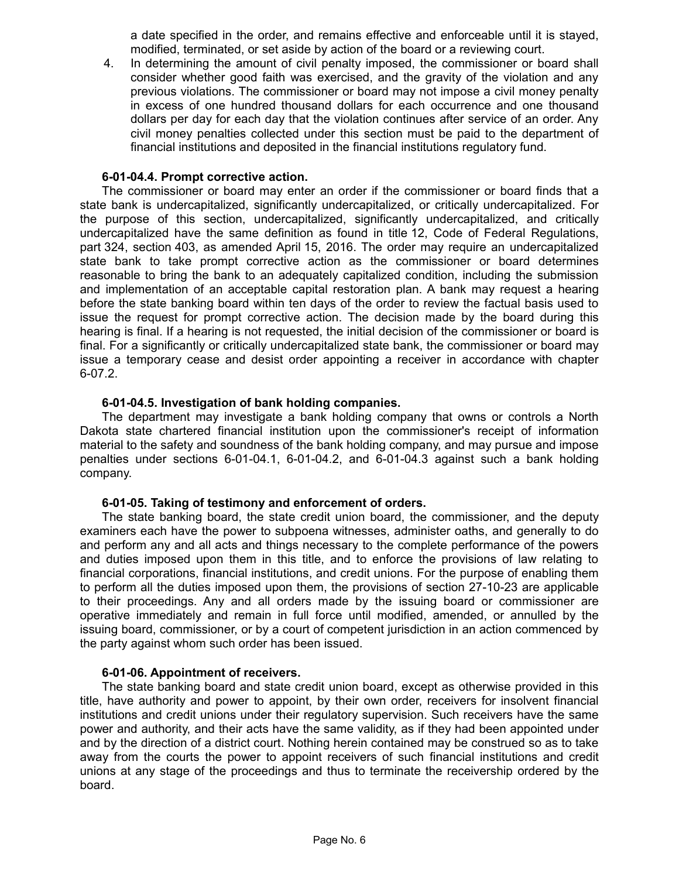a date specified in the order, and remains effective and enforceable until it is stayed, modified, terminated, or set aside by action of the board or a reviewing court.

4. In determining the amount of civil penalty imposed, the commissioner or board shall consider whether good faith was exercised, and the gravity of the violation and any previous violations. The commissioner or board may not impose a civil money penalty in excess of one hundred thousand dollars for each occurrence and one thousand dollars per day for each day that the violation continues after service of an order. Any civil money penalties collected under this section must be paid to the department of financial institutions and deposited in the financial institutions regulatory fund.

#### **6-01-04.4. Prompt corrective action.**

The commissioner or board may enter an order if the commissioner or board finds that a state bank is undercapitalized, significantly undercapitalized, or critically undercapitalized. For the purpose of this section, undercapitalized, significantly undercapitalized, and critically undercapitalized have the same definition as found in title 12, Code of Federal Regulations, part 324, section 403, as amended April 15, 2016. The order may require an undercapitalized state bank to take prompt corrective action as the commissioner or board determines reasonable to bring the bank to an adequately capitalized condition, including the submission and implementation of an acceptable capital restoration plan. A bank may request a hearing before the state banking board within ten days of the order to review the factual basis used to issue the request for prompt corrective action. The decision made by the board during this hearing is final. If a hearing is not requested, the initial decision of the commissioner or board is final. For a significantly or critically undercapitalized state bank, the commissioner or board may issue a temporary cease and desist order appointing a receiver in accordance with chapter 6-07.2.

#### **6-01-04.5. Investigation of bank holding companies.**

The department may investigate a bank holding company that owns or controls a North Dakota state chartered financial institution upon the commissioner's receipt of information material to the safety and soundness of the bank holding company, and may pursue and impose penalties under sections 6-01-04.1, 6-01-04.2, and 6-01-04.3 against such a bank holding company.

#### **6-01-05. Taking of testimony and enforcement of orders.**

The state banking board, the state credit union board, the commissioner, and the deputy examiners each have the power to subpoena witnesses, administer oaths, and generally to do and perform any and all acts and things necessary to the complete performance of the powers and duties imposed upon them in this title, and to enforce the provisions of law relating to financial corporations, financial institutions, and credit unions. For the purpose of enabling them to perform all the duties imposed upon them, the provisions of section 27-10-23 are applicable to their proceedings. Any and all orders made by the issuing board or commissioner are operative immediately and remain in full force until modified, amended, or annulled by the issuing board, commissioner, or by a court of competent jurisdiction in an action commenced by the party against whom such order has been issued.

#### **6-01-06. Appointment of receivers.**

The state banking board and state credit union board, except as otherwise provided in this title, have authority and power to appoint, by their own order, receivers for insolvent financial institutions and credit unions under their regulatory supervision. Such receivers have the same power and authority, and their acts have the same validity, as if they had been appointed under and by the direction of a district court. Nothing herein contained may be construed so as to take away from the courts the power to appoint receivers of such financial institutions and credit unions at any stage of the proceedings and thus to terminate the receivership ordered by the board.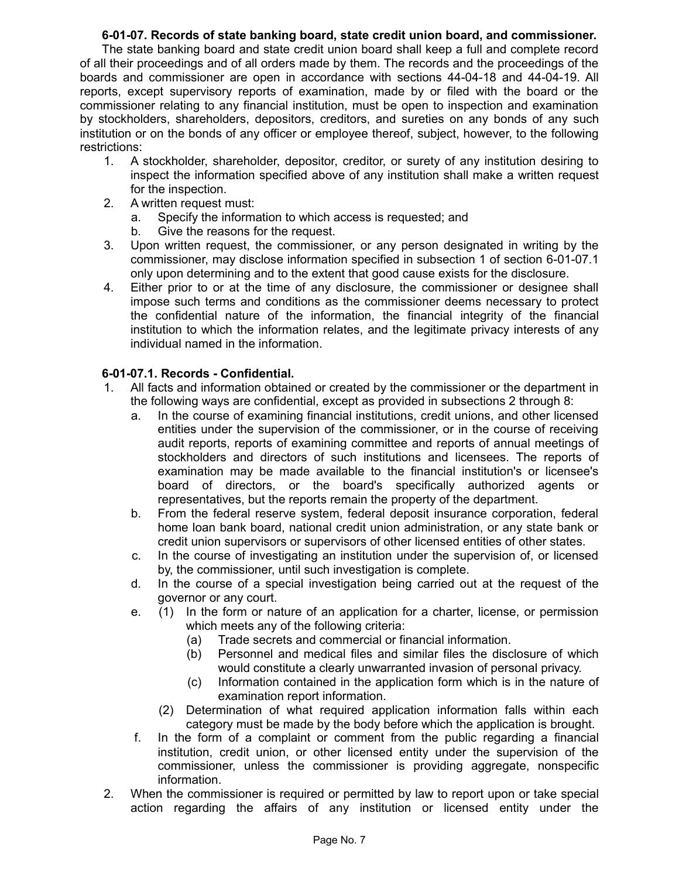## **6-01-07. Records of state banking board, state credit union board, and commissioner.**

The state banking board and state credit union board shall keep a full and complete record of all their proceedings and of all orders made by them. The records and the proceedings of the boards and commissioner are open in accordance with sections 44-04-18 and 44-04-19. All reports, except supervisory reports of examination, made by or filed with the board or the commissioner relating to any financial institution, must be open to inspection and examination by stockholders, shareholders, depositors, creditors, and sureties on any bonds of any such institution or on the bonds of any officer or employee thereof, subject, however, to the following restrictions:

- 1. A stockholder, shareholder, depositor, creditor, or surety of any institution desiring to inspect the information specified above of any institution shall make a written request for the inspection.
- 2. A written request must:
	- a. Specify the information to which access is requested; and
	- b. Give the reasons for the request.
- 3. Upon written request, the commissioner, or any person designated in writing by the commissioner, may disclose information specified in subsection 1 of section 6-01-07.1 only upon determining and to the extent that good cause exists for the disclosure.
- 4. Either prior to or at the time of any disclosure, the commissioner or designee shall impose such terms and conditions as the commissioner deems necessary to protect the confidential nature of the information, the financial integrity of the financial institution to which the information relates, and the legitimate privacy interests of any individual named in the information.

# **6-01-07.1. Records - Confidential.**

- 1. All facts and information obtained or created by the commissioner or the department in the following ways are confidential, except as provided in subsections 2 through 8:
	- a. In the course of examining financial institutions, credit unions, and other licensed entities under the supervision of the commissioner, or in the course of receiving audit reports, reports of examining committee and reports of annual meetings of stockholders and directors of such institutions and licensees. The reports of examination may be made available to the financial institution's or licensee's board of directors, or the board's specifically authorized agents or representatives, but the reports remain the property of the department.
	- b. From the federal reserve system, federal deposit insurance corporation, federal home loan bank board, national credit union administration, or any state bank or credit union supervisors or supervisors of other licensed entities of other states.
	- c. In the course of investigating an institution under the supervision of, or licensed by, the commissioner, until such investigation is complete.
	- d. In the course of a special investigation being carried out at the request of the governor or any court.
	- e. (1) In the form or nature of an application for a charter, license, or permission which meets any of the following criteria:
		- (a) Trade secrets and commercial or financial information.
		- (b) Personnel and medical files and similar files the disclosure of which would constitute a clearly unwarranted invasion of personal privacy.
		- (c) Information contained in the application form which is in the nature of examination report information.
		- (2) Determination of what required application information falls within each category must be made by the body before which the application is brought.
	- f. In the form of a complaint or comment from the public regarding a financial institution, credit union, or other licensed entity under the supervision of the commissioner, unless the commissioner is providing aggregate, nonspecific information.
- 2. When the commissioner is required or permitted by law to report upon or take special action regarding the affairs of any institution or licensed entity under the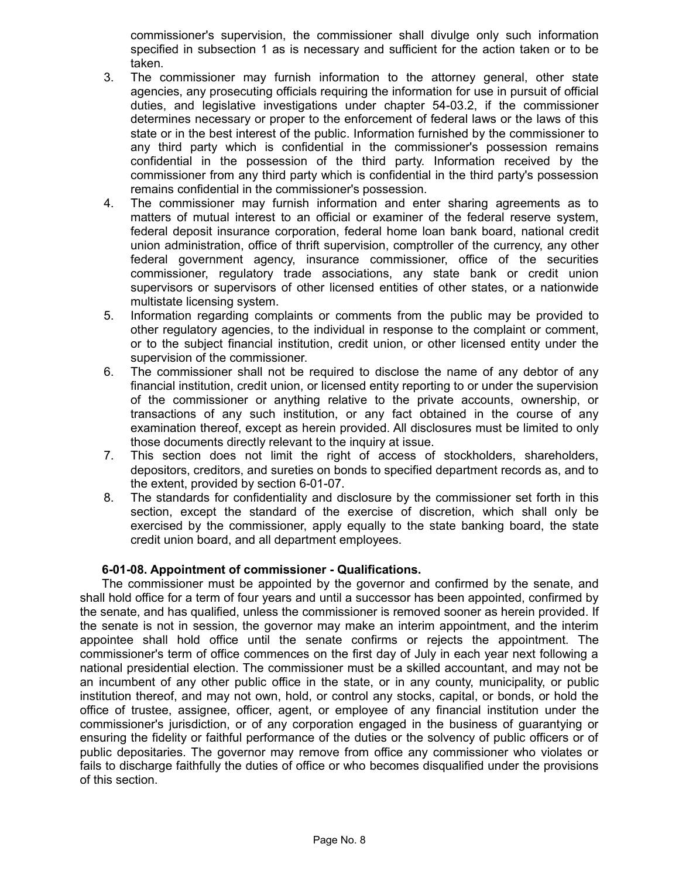commissioner's supervision, the commissioner shall divulge only such information specified in subsection 1 as is necessary and sufficient for the action taken or to be taken.

- 3. The commissioner may furnish information to the attorney general, other state agencies, any prosecuting officials requiring the information for use in pursuit of official duties, and legislative investigations under chapter 54-03.2, if the commissioner determines necessary or proper to the enforcement of federal laws or the laws of this state or in the best interest of the public. Information furnished by the commissioner to any third party which is confidential in the commissioner's possession remains confidential in the possession of the third party. Information received by the commissioner from any third party which is confidential in the third party's possession remains confidential in the commissioner's possession.
- 4. The commissioner may furnish information and enter sharing agreements as to matters of mutual interest to an official or examiner of the federal reserve system, federal deposit insurance corporation, federal home loan bank board, national credit union administration, office of thrift supervision, comptroller of the currency, any other federal government agency, insurance commissioner, office of the securities commissioner, regulatory trade associations, any state bank or credit union supervisors or supervisors of other licensed entities of other states, or a nationwide multistate licensing system.
- 5. Information regarding complaints or comments from the public may be provided to other regulatory agencies, to the individual in response to the complaint or comment, or to the subject financial institution, credit union, or other licensed entity under the supervision of the commissioner.
- 6. The commissioner shall not be required to disclose the name of any debtor of any financial institution, credit union, or licensed entity reporting to or under the supervision of the commissioner or anything relative to the private accounts, ownership, or transactions of any such institution, or any fact obtained in the course of any examination thereof, except as herein provided. All disclosures must be limited to only those documents directly relevant to the inquiry at issue.
- 7. This section does not limit the right of access of stockholders, shareholders, depositors, creditors, and sureties on bonds to specified department records as, and to the extent, provided by section 6-01-07.
- 8. The standards for confidentiality and disclosure by the commissioner set forth in this section, except the standard of the exercise of discretion, which shall only be exercised by the commissioner, apply equally to the state banking board, the state credit union board, and all department employees.

## **6-01-08. Appointment of commissioner - Qualifications.**

The commissioner must be appointed by the governor and confirmed by the senate, and shall hold office for a term of four years and until a successor has been appointed, confirmed by the senate, and has qualified, unless the commissioner is removed sooner as herein provided. If the senate is not in session, the governor may make an interim appointment, and the interim appointee shall hold office until the senate confirms or rejects the appointment. The commissioner's term of office commences on the first day of July in each year next following a national presidential election. The commissioner must be a skilled accountant, and may not be an incumbent of any other public office in the state, or in any county, municipality, or public institution thereof, and may not own, hold, or control any stocks, capital, or bonds, or hold the office of trustee, assignee, officer, agent, or employee of any financial institution under the commissioner's jurisdiction, or of any corporation engaged in the business of guarantying or ensuring the fidelity or faithful performance of the duties or the solvency of public officers or of public depositaries. The governor may remove from office any commissioner who violates or fails to discharge faithfully the duties of office or who becomes disqualified under the provisions of this section.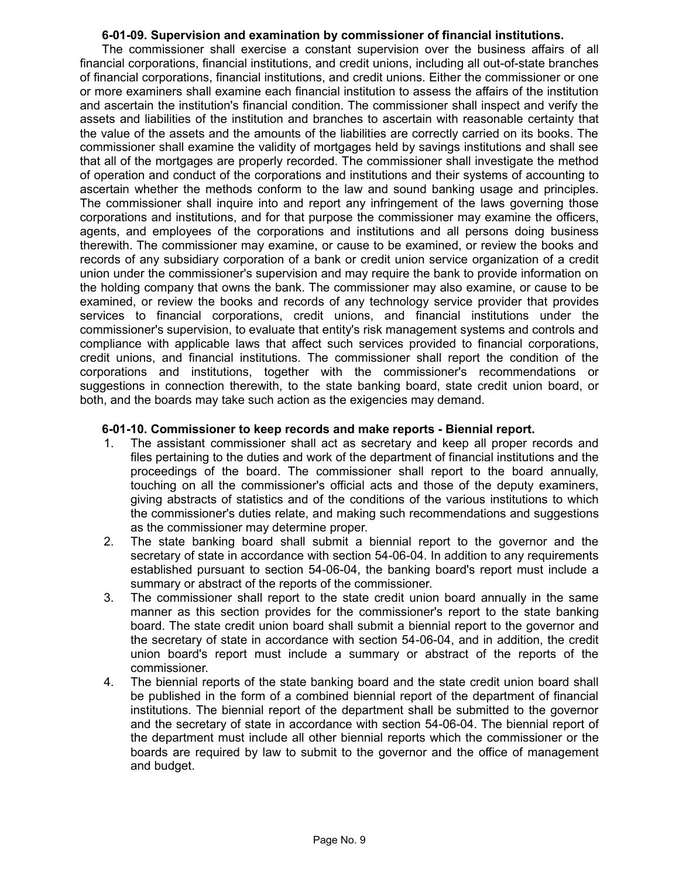### **6-01-09. Supervision and examination by commissioner of financial institutions.**

The commissioner shall exercise a constant supervision over the business affairs of all financial corporations, financial institutions, and credit unions, including all out-of-state branches of financial corporations, financial institutions, and credit unions. Either the commissioner or one or more examiners shall examine each financial institution to assess the affairs of the institution and ascertain the institution's financial condition. The commissioner shall inspect and verify the assets and liabilities of the institution and branches to ascertain with reasonable certainty that the value of the assets and the amounts of the liabilities are correctly carried on its books. The commissioner shall examine the validity of mortgages held by savings institutions and shall see that all of the mortgages are properly recorded. The commissioner shall investigate the method of operation and conduct of the corporations and institutions and their systems of accounting to ascertain whether the methods conform to the law and sound banking usage and principles. The commissioner shall inquire into and report any infringement of the laws governing those corporations and institutions, and for that purpose the commissioner may examine the officers, agents, and employees of the corporations and institutions and all persons doing business therewith. The commissioner may examine, or cause to be examined, or review the books and records of any subsidiary corporation of a bank or credit union service organization of a credit union under the commissioner's supervision and may require the bank to provide information on the holding company that owns the bank. The commissioner may also examine, or cause to be examined, or review the books and records of any technology service provider that provides services to financial corporations, credit unions, and financial institutions under the commissioner's supervision, to evaluate that entity's risk management systems and controls and compliance with applicable laws that affect such services provided to financial corporations, credit unions, and financial institutions. The commissioner shall report the condition of the corporations and institutions, together with the commissioner's recommendations or suggestions in connection therewith, to the state banking board, state credit union board, or both, and the boards may take such action as the exigencies may demand.

## **6-01-10. Commissioner to keep records and make reports - Biennial report.**

- 1. The assistant commissioner shall act as secretary and keep all proper records and files pertaining to the duties and work of the department of financial institutions and the proceedings of the board. The commissioner shall report to the board annually, touching on all the commissioner's official acts and those of the deputy examiners, giving abstracts of statistics and of the conditions of the various institutions to which the commissioner's duties relate, and making such recommendations and suggestions as the commissioner may determine proper.
- 2. The state banking board shall submit a biennial report to the governor and the secretary of state in accordance with section 54-06-04. In addition to any requirements established pursuant to section 54-06-04, the banking board's report must include a summary or abstract of the reports of the commissioner.
- 3. The commissioner shall report to the state credit union board annually in the same manner as this section provides for the commissioner's report to the state banking board. The state credit union board shall submit a biennial report to the governor and the secretary of state in accordance with section 54-06-04, and in addition, the credit union board's report must include a summary or abstract of the reports of the commissioner.
- 4. The biennial reports of the state banking board and the state credit union board shall be published in the form of a combined biennial report of the department of financial institutions. The biennial report of the department shall be submitted to the governor and the secretary of state in accordance with section 54-06-04. The biennial report of the department must include all other biennial reports which the commissioner or the boards are required by law to submit to the governor and the office of management and budget.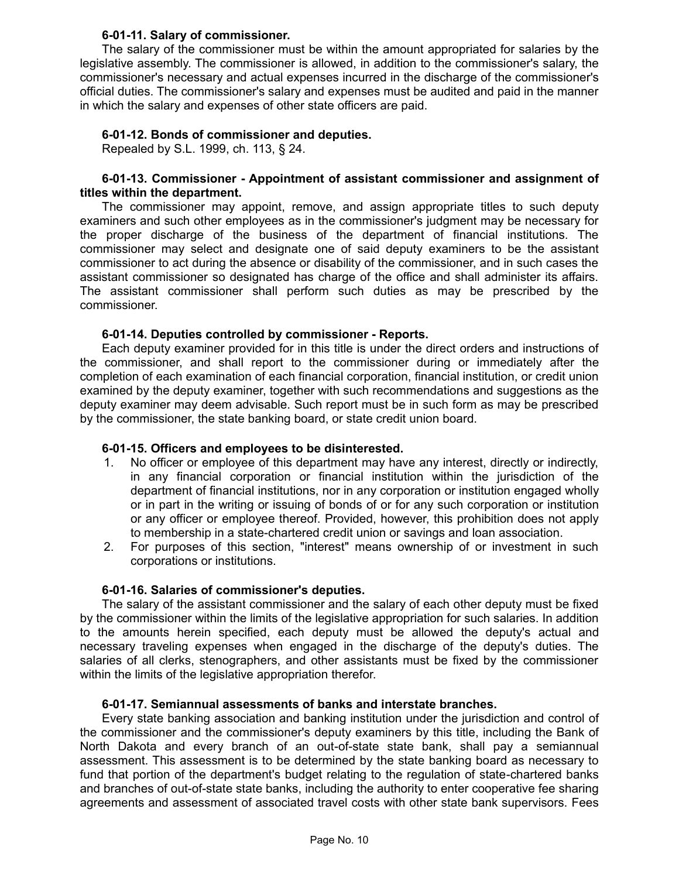### **6-01-11. Salary of commissioner.**

The salary of the commissioner must be within the amount appropriated for salaries by the legislative assembly. The commissioner is allowed, in addition to the commissioner's salary, the commissioner's necessary and actual expenses incurred in the discharge of the commissioner's official duties. The commissioner's salary and expenses must be audited and paid in the manner in which the salary and expenses of other state officers are paid.

## **6-01-12. Bonds of commissioner and deputies.**

Repealed by S.L. 1999, ch. 113, § 24.

### **6-01-13. Commissioner - Appointment of assistant commissioner and assignment of titles within the department.**

The commissioner may appoint, remove, and assign appropriate titles to such deputy examiners and such other employees as in the commissioner's judgment may be necessary for the proper discharge of the business of the department of financial institutions. The commissioner may select and designate one of said deputy examiners to be the assistant commissioner to act during the absence or disability of the commissioner, and in such cases the assistant commissioner so designated has charge of the office and shall administer its affairs. The assistant commissioner shall perform such duties as may be prescribed by the commissioner.

### **6-01-14. Deputies controlled by commissioner - Reports.**

Each deputy examiner provided for in this title is under the direct orders and instructions of the commissioner, and shall report to the commissioner during or immediately after the completion of each examination of each financial corporation, financial institution, or credit union examined by the deputy examiner, together with such recommendations and suggestions as the deputy examiner may deem advisable. Such report must be in such form as may be prescribed by the commissioner, the state banking board, or state credit union board.

## **6-01-15. Officers and employees to be disinterested.**

- 1. No officer or employee of this department may have any interest, directly or indirectly, in any financial corporation or financial institution within the jurisdiction of the department of financial institutions, nor in any corporation or institution engaged wholly or in part in the writing or issuing of bonds of or for any such corporation or institution or any officer or employee thereof. Provided, however, this prohibition does not apply to membership in a state-chartered credit union or savings and loan association.
- 2. For purposes of this section, "interest" means ownership of or investment in such corporations or institutions.

## **6-01-16. Salaries of commissioner's deputies.**

The salary of the assistant commissioner and the salary of each other deputy must be fixed by the commissioner within the limits of the legislative appropriation for such salaries. In addition to the amounts herein specified, each deputy must be allowed the deputy's actual and necessary traveling expenses when engaged in the discharge of the deputy's duties. The salaries of all clerks, stenographers, and other assistants must be fixed by the commissioner within the limits of the legislative appropriation therefor.

## **6-01-17. Semiannual assessments of banks and interstate branches.**

Every state banking association and banking institution under the jurisdiction and control of the commissioner and the commissioner's deputy examiners by this title, including the Bank of North Dakota and every branch of an out-of-state state bank, shall pay a semiannual assessment. This assessment is to be determined by the state banking board as necessary to fund that portion of the department's budget relating to the regulation of state-chartered banks and branches of out-of-state state banks, including the authority to enter cooperative fee sharing agreements and assessment of associated travel costs with other state bank supervisors. Fees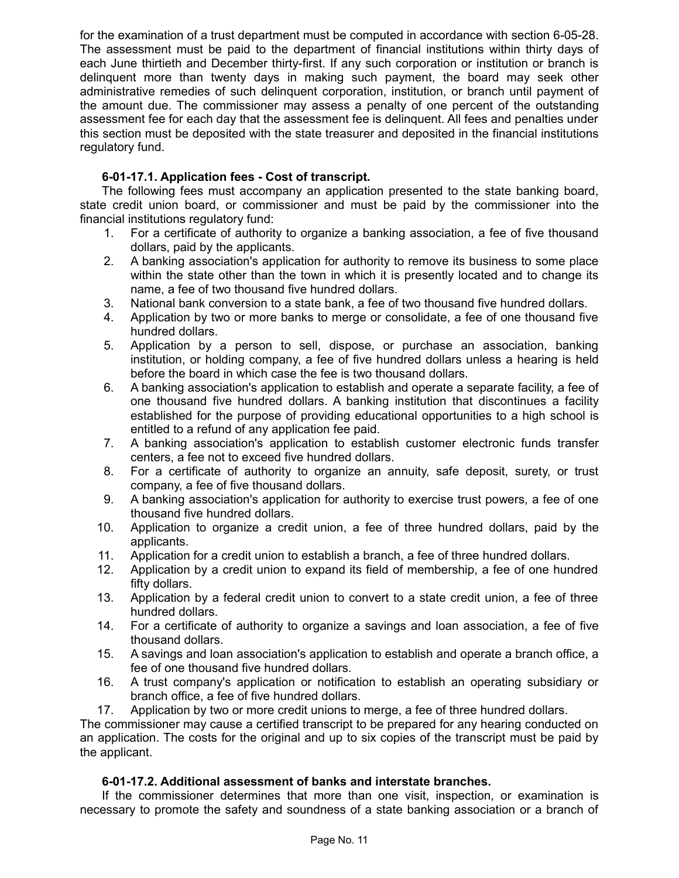for the examination of a trust department must be computed in accordance with section 6-05-28. The assessment must be paid to the department of financial institutions within thirty days of each June thirtieth and December thirty-first. If any such corporation or institution or branch is delinquent more than twenty days in making such payment, the board may seek other administrative remedies of such delinquent corporation, institution, or branch until payment of the amount due. The commissioner may assess a penalty of one percent of the outstanding assessment fee for each day that the assessment fee is delinquent. All fees and penalties under this section must be deposited with the state treasurer and deposited in the financial institutions regulatory fund.

# **6-01-17.1. Application fees - Cost of transcript.**

The following fees must accompany an application presented to the state banking board, state credit union board, or commissioner and must be paid by the commissioner into the financial institutions regulatory fund:

- 1. For a certificate of authority to organize a banking association, a fee of five thousand dollars, paid by the applicants.
- 2. A banking association's application for authority to remove its business to some place within the state other than the town in which it is presently located and to change its name, a fee of two thousand five hundred dollars.
- 3. National bank conversion to a state bank, a fee of two thousand five hundred dollars.
- 4. Application by two or more banks to merge or consolidate, a fee of one thousand five hundred dollars.
- 5. Application by a person to sell, dispose, or purchase an association, banking institution, or holding company, a fee of five hundred dollars unless a hearing is held before the board in which case the fee is two thousand dollars.
- 6. A banking association's application to establish and operate a separate facility, a fee of one thousand five hundred dollars. A banking institution that discontinues a facility established for the purpose of providing educational opportunities to a high school is entitled to a refund of any application fee paid.
- 7. A banking association's application to establish customer electronic funds transfer centers, a fee not to exceed five hundred dollars.
- 8. For a certificate of authority to organize an annuity, safe deposit, surety, or trust company, a fee of five thousand dollars.
- 9. A banking association's application for authority to exercise trust powers, a fee of one thousand five hundred dollars.
- 10. Application to organize a credit union, a fee of three hundred dollars, paid by the applicants.
- 11. Application for a credit union to establish a branch, a fee of three hundred dollars.
- 12. Application by a credit union to expand its field of membership, a fee of one hundred fifty dollars.
- 13. Application by a federal credit union to convert to a state credit union, a fee of three hundred dollars.
- 14. For a certificate of authority to organize a savings and loan association, a fee of five thousand dollars.
- 15. A savings and loan association's application to establish and operate a branch office, a fee of one thousand five hundred dollars.
- 16. A trust company's application or notification to establish an operating subsidiary or branch office, a fee of five hundred dollars.
- 17. Application by two or more credit unions to merge, a fee of three hundred dollars.

The commissioner may cause a certified transcript to be prepared for any hearing conducted on an application. The costs for the original and up to six copies of the transcript must be paid by the applicant.

## **6-01-17.2. Additional assessment of banks and interstate branches.**

If the commissioner determines that more than one visit, inspection, or examination is necessary to promote the safety and soundness of a state banking association or a branch of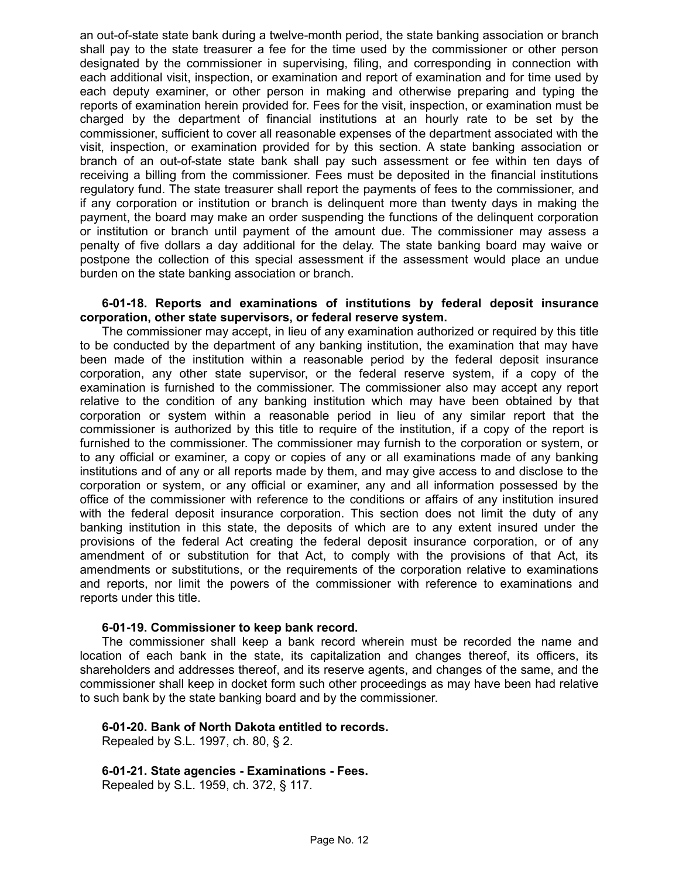an out-of-state state bank during a twelve-month period, the state banking association or branch shall pay to the state treasurer a fee for the time used by the commissioner or other person designated by the commissioner in supervising, filing, and corresponding in connection with each additional visit, inspection, or examination and report of examination and for time used by each deputy examiner, or other person in making and otherwise preparing and typing the reports of examination herein provided for. Fees for the visit, inspection, or examination must be charged by the department of financial institutions at an hourly rate to be set by the commissioner, sufficient to cover all reasonable expenses of the department associated with the visit, inspection, or examination provided for by this section. A state banking association or branch of an out-of-state state bank shall pay such assessment or fee within ten days of receiving a billing from the commissioner. Fees must be deposited in the financial institutions regulatory fund. The state treasurer shall report the payments of fees to the commissioner, and if any corporation or institution or branch is delinquent more than twenty days in making the payment, the board may make an order suspending the functions of the delinquent corporation or institution or branch until payment of the amount due. The commissioner may assess a penalty of five dollars a day additional for the delay. The state banking board may waive or postpone the collection of this special assessment if the assessment would place an undue burden on the state banking association or branch.

#### **6-01-18. Reports and examinations of institutions by federal deposit insurance corporation, other state supervisors, or federal reserve system.**

The commissioner may accept, in lieu of any examination authorized or required by this title to be conducted by the department of any banking institution, the examination that may have been made of the institution within a reasonable period by the federal deposit insurance corporation, any other state supervisor, or the federal reserve system, if a copy of the examination is furnished to the commissioner. The commissioner also may accept any report relative to the condition of any banking institution which may have been obtained by that corporation or system within a reasonable period in lieu of any similar report that the commissioner is authorized by this title to require of the institution, if a copy of the report is furnished to the commissioner. The commissioner may furnish to the corporation or system, or to any official or examiner, a copy or copies of any or all examinations made of any banking institutions and of any or all reports made by them, and may give access to and disclose to the corporation or system, or any official or examiner, any and all information possessed by the office of the commissioner with reference to the conditions or affairs of any institution insured with the federal deposit insurance corporation. This section does not limit the duty of any banking institution in this state, the deposits of which are to any extent insured under the provisions of the federal Act creating the federal deposit insurance corporation, or of any amendment of or substitution for that Act, to comply with the provisions of that Act, its amendments or substitutions, or the requirements of the corporation relative to examinations and reports, nor limit the powers of the commissioner with reference to examinations and reports under this title.

#### **6-01-19. Commissioner to keep bank record.**

The commissioner shall keep a bank record wherein must be recorded the name and location of each bank in the state, its capitalization and changes thereof, its officers, its shareholders and addresses thereof, and its reserve agents, and changes of the same, and the commissioner shall keep in docket form such other proceedings as may have been had relative to such bank by the state banking board and by the commissioner.

## **6-01-20. Bank of North Dakota entitled to records.**

Repealed by S.L. 1997, ch. 80, § 2.

**6-01-21. State agencies - Examinations - Fees.**

Repealed by S.L. 1959, ch. 372, § 117.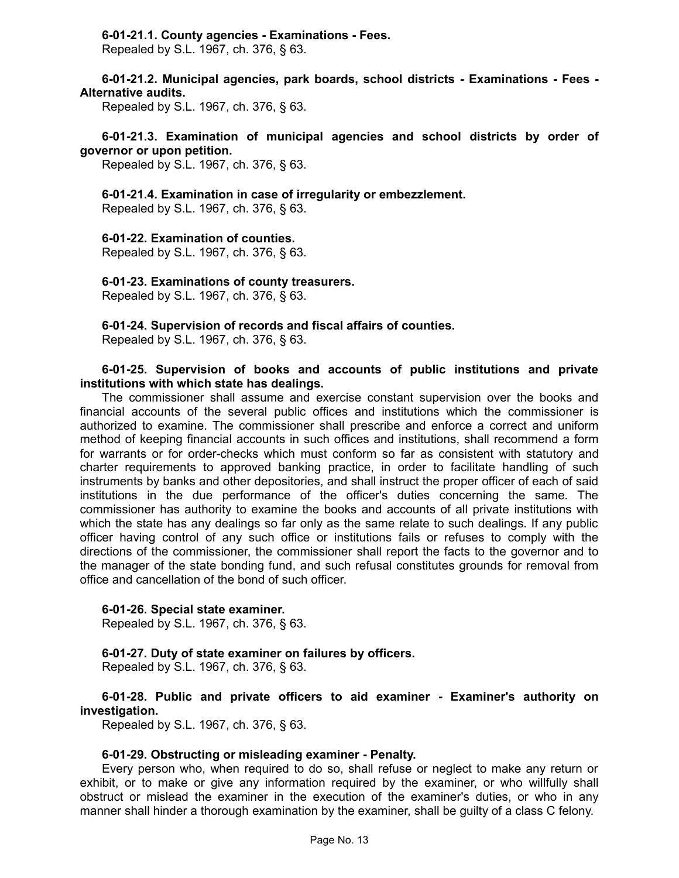### **6-01-21.1. County agencies - Examinations - Fees.**

Repealed by S.L. 1967, ch. 376, § 63.

#### **6-01-21.2. Municipal agencies, park boards, school districts - Examinations - Fees - Alternative audits.**

Repealed by S.L. 1967, ch. 376, § 63.

## **6-01-21.3. Examination of municipal agencies and school districts by order of governor or upon petition.**

Repealed by S.L. 1967, ch. 376, § 63.

#### **6-01-21.4. Examination in case of irregularity or embezzlement.**

Repealed by S.L. 1967, ch. 376, § 63.

#### **6-01-22. Examination of counties.**

Repealed by S.L. 1967, ch. 376, § 63.

#### **6-01-23. Examinations of county treasurers.**

Repealed by S.L. 1967, ch. 376, § 63.

#### **6-01-24. Supervision of records and fiscal affairs of counties.**

Repealed by S.L. 1967, ch. 376, § 63.

#### **6-01-25. Supervision of books and accounts of public institutions and private institutions with which state has dealings.**

The commissioner shall assume and exercise constant supervision over the books and financial accounts of the several public offices and institutions which the commissioner is authorized to examine. The commissioner shall prescribe and enforce a correct and uniform method of keeping financial accounts in such offices and institutions, shall recommend a form for warrants or for order-checks which must conform so far as consistent with statutory and charter requirements to approved banking practice, in order to facilitate handling of such instruments by banks and other depositories, and shall instruct the proper officer of each of said institutions in the due performance of the officer's duties concerning the same. The commissioner has authority to examine the books and accounts of all private institutions with which the state has any dealings so far only as the same relate to such dealings. If any public officer having control of any such office or institutions fails or refuses to comply with the directions of the commissioner, the commissioner shall report the facts to the governor and to the manager of the state bonding fund, and such refusal constitutes grounds for removal from office and cancellation of the bond of such officer.

#### **6-01-26. Special state examiner.**

Repealed by S.L. 1967, ch. 376, § 63.

#### **6-01-27. Duty of state examiner on failures by officers.**

Repealed by S.L. 1967, ch. 376, § 63.

#### **6-01-28. Public and private officers to aid examiner - Examiner's authority on investigation.**

Repealed by S.L. 1967, ch. 376, § 63.

#### **6-01-29. Obstructing or misleading examiner - Penalty.**

Every person who, when required to do so, shall refuse or neglect to make any return or exhibit, or to make or give any information required by the examiner, or who willfully shall obstruct or mislead the examiner in the execution of the examiner's duties, or who in any manner shall hinder a thorough examination by the examiner, shall be guilty of a class C felony.